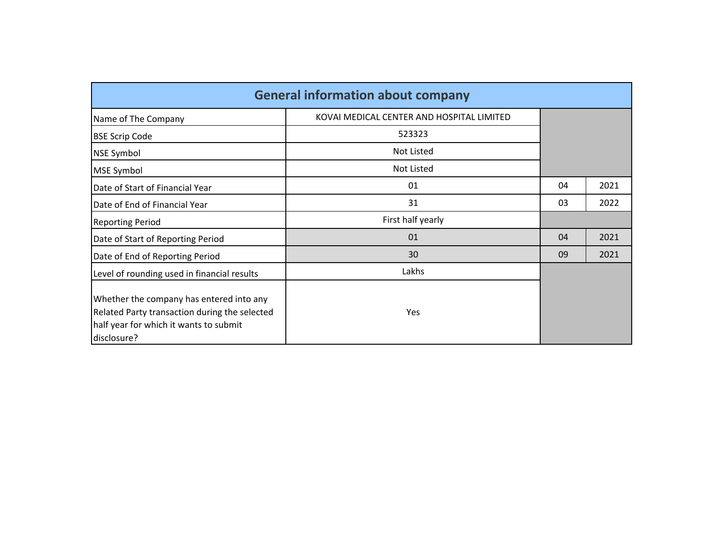| <b>General information about company</b>                                                                                                           |                                           |    |      |  |  |  |  |  |  |  |  |
|----------------------------------------------------------------------------------------------------------------------------------------------------|-------------------------------------------|----|------|--|--|--|--|--|--|--|--|
| Name of The Company                                                                                                                                | KOVAI MEDICAL CENTER AND HOSPITAL LIMITED |    |      |  |  |  |  |  |  |  |  |
| <b>BSE Scrip Code</b>                                                                                                                              | 523323                                    |    |      |  |  |  |  |  |  |  |  |
| <b>NSE Symbol</b>                                                                                                                                  | Not Listed                                |    |      |  |  |  |  |  |  |  |  |
| <b>MSE Symbol</b>                                                                                                                                  | Not Listed                                |    |      |  |  |  |  |  |  |  |  |
| Date of Start of Financial Year                                                                                                                    | 01                                        | 04 | 2021 |  |  |  |  |  |  |  |  |
| Date of End of Financial Year                                                                                                                      | 31                                        | 03 | 2022 |  |  |  |  |  |  |  |  |
| <b>Reporting Period</b>                                                                                                                            | First half yearly                         |    |      |  |  |  |  |  |  |  |  |
| Date of Start of Reporting Period                                                                                                                  | 01                                        | 04 | 2021 |  |  |  |  |  |  |  |  |
| Date of End of Reporting Period                                                                                                                    | 30                                        | 09 | 2021 |  |  |  |  |  |  |  |  |
| Level of rounding used in financial results                                                                                                        | Lakhs                                     |    |      |  |  |  |  |  |  |  |  |
| Whether the company has entered into any<br>Related Party transaction during the selected<br>half year for which it wants to submit<br>disclosure? | Yes                                       |    |      |  |  |  |  |  |  |  |  |